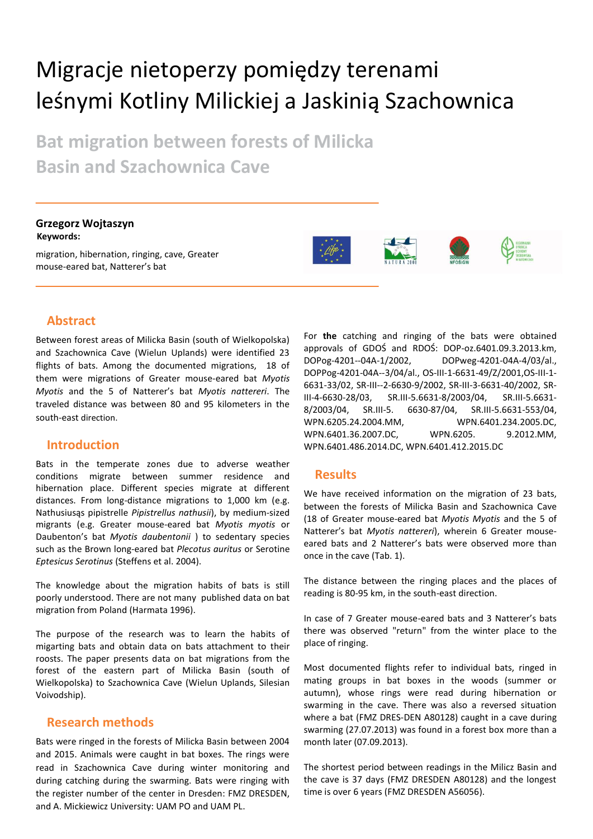# Migracje nietoperzy pomiędzy terenami leśnymi Kotliny Milickiej a Jaskinią Szachownica

**Bat migration between forests of Milicka Basin and Szachownica Cave**

**Grzegorz Wojtaszyn Keywords:**

migration, hibernation, ringing, cave, Greater mouse-eared bat, Natterer's bat





## **Abstract**

Between forest areas of Milicka Basin (south of Wielkopolska) and Szachownica Cave (Wielun Uplands) were identified 23 flights of bats. Among the documented migrations, 18 of them were migrations of Greater mouse-eared bat *Myotis Myotis* and the 5 of Natterer's bat *Myotis nattereri*. The traveled distance was between 80 and 95 kilometers in the south-east direction.

### **Introduction**

Bats in the temperate zones due to adverse weather conditions migrate between summer residence and hibernation place. Different species migrate at different distances. From long-distance migrations to 1,000 km (e.g. Nathusiusąs pipistrelle *Pipistrellus nathusii*), by medium-sized migrants (e.g. Greater mouse-eared bat *Myotis myotis* or Daubenton's bat *Myotis daubentonii* ) to sedentary species such as the Brown long-eared bat *Plecotus auritus* or Serotine *Eptesicus Serotinus* (Steffens et al. 2004).

The knowledge about the migration habits of bats is still poorly understood. There are not many published data on bat migration from Poland (Harmata 1996).

The purpose of the research was to learn the habits of migarting bats and obtain data on bats attachment to their roosts. The paper presents data on bat migrations from the forest of the eastern part of Milicka Basin (south of Wielkopolska) to Szachownica Cave (Wielun Uplands, Silesian Voivodship).

#### **Research methods**

Bats were ringed in the forests of Milicka Basin between 2004 and 2015. Animals were caught in bat boxes. The rings were read in Szachownica Cave during winter monitoring and during catching during the swarming. Bats were ringing with the register number of the center in Dresden: FMZ DRESDEN, and A. Mickiewicz University: UAM PO and UAM PL.

For **the** catching and ringing of the bats were obtained approvals of GDOŚ and RDOŚ: DOP-oz.6401.09.3.2013.km, DOPog-4201--04A-1/2002, DOPweg-4201-04A-4/03/al., DOPPog-4201-04A--3/04/al., OS-III-1-6631-49/Z/2001,OS-III-1- 6631-33/02, SR-III--2-6630-9/2002, SR-III-3-6631-40/2002, SR-III-4-6630-28/03, SR.III-5.6631-8/2003/04, SR.III-5.6631- 8/2003/04, SR.III-5. 6630-87/04, SR.III-5.6631-553/04, WPN.6205.24.2004.MM, WPN.6401.234.2005.DC, WPN.6401.36.2007.DC, WPN.6205. 9.2012.MM, WPN.6401.486.2014.DC, WPN.6401.412.2015.DC

### **Results**

We have received information on the migration of 23 bats, between the forests of Milicka Basin and Szachownica Cave (18 of Greater mouse-eared bat *Myotis Myotis* and the 5 of Natterer's bat *Myotis nattereri*), wherein 6 Greater mouseeared bats and 2 Natterer's bats were observed more than once in the cave (Tab. 1).

The distance between the ringing places and the places of reading is 80-95 km, in the south-east direction.

In case of 7 Greater mouse-eared bats and 3 Natterer's bats there was observed "return" from the winter place to the place of ringing.

Most documented flights refer to individual bats, ringed in mating groups in bat boxes in the woods (summer or autumn), whose rings were read during hibernation or swarming in the cave. There was also a reversed situation where a bat (FMZ DRES-DEN A80128) caught in a cave during swarming (27.07.2013) was found in a forest box more than a month later (07.09.2013).

The shortest period between readings in the Milicz Basin and the cave is 37 days (FMZ DRESDEN A80128) and the longest time is over 6 years (FMZ DRESDEN A56056).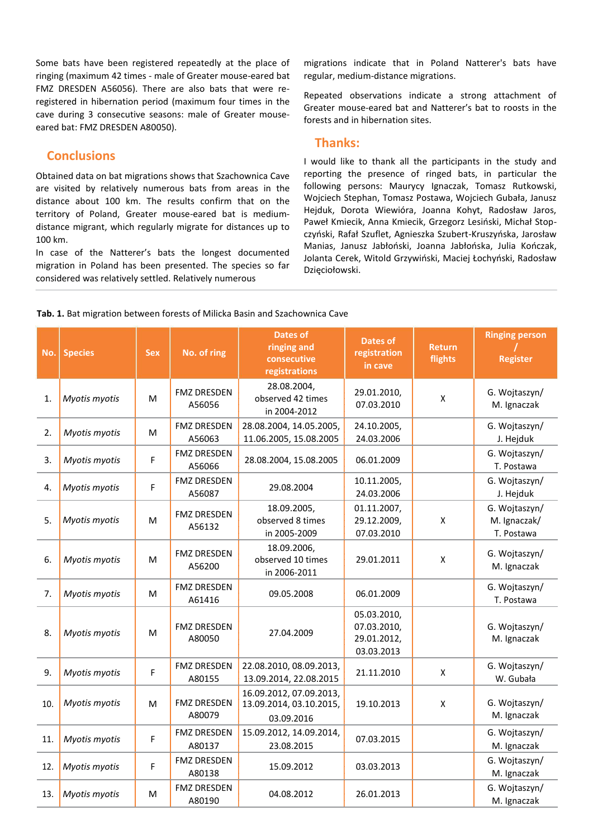Some bats have been registered repeatedly at the place of ringing (maximum 42 times - male of Greater mouse-eared bat FMZ DRESDEN A56056). There are also bats that were reregistered in hibernation period (maximum four times in the cave during 3 consecutive seasons: male of Greater mouseeared bat: FMZ DRESDEN A80050).

# **Conclusions**

Obtained data on bat migrations shows that Szachownica Cave are visited by relatively numerous bats from areas in the distance about 100 km. The results confirm that on the territory of Poland, Greater mouse-eared bat is mediumdistance migrant, which regularly migrate for distances up to 100 km.

In case of the Natterer's bats the longest documented migration in Poland has been presented. The species so far considered was relatively settled. Relatively numerous

migrations indicate that in Poland Natterer's bats have regular, medium-distance migrations.

Repeated observations indicate a strong attachment of Greater mouse-eared bat and Natterer's bat to roosts in the forests and in hibernation sites.

#### **Thanks:**

I would like to thank all the participants in the study and reporting the presence of ringed bats, in particular the following persons: Maurycy Ignaczak, Tomasz Rutkowski, Wojciech Stephan, Tomasz Postawa, Wojciech Gubała, Janusz Hejduk, Dorota Wiewióra, Joanna Kohyt, Radosław Jaros, Paweł Kmiecik, Anna Kmiecik, Grzegorz Lesiński, Michał Stopczyński, Rafał Szuflet, Agnieszka Szubert-Kruszyńska, Jarosław Manias, Janusz Jabłoński, Joanna Jabłońska, Julia Kończak, Jolanta Cerek, Witold Grzywiński, Maciej Łochyński, Radosław Dzięciołowski.

**Dates of Ringing person** 

| No.            | <b>Species</b> | <b>Sex</b> | No. of ring                               | ringing and<br>consecutive<br>registrations       | Dalcs UI<br>registration<br>in cave      | <b>Return</b><br>flights | <b>Register</b>                             |
|----------------|----------------|------------|-------------------------------------------|---------------------------------------------------|------------------------------------------|--------------------------|---------------------------------------------|
| $\mathbf{1}$ . | Myotis myotis  | M          | <b>FMZ DRESDEN</b><br>A56056              | 28.08.2004,<br>observed 42 times<br>in 2004-2012  | 29.01.2010,<br>07.03.2010                | Χ                        | G. Wojtaszyn/<br>M. Ignaczak                |
| 2.             | Myotis myotis  | M          | <b>FMZ DRESDEN</b><br>A56063              | 28.08.2004, 14.05.2005,<br>11.06.2005, 15.08.2005 | 24.10.2005,<br>24.03.2006                |                          | G. Wojtaszyn/<br>J. Hejduk                  |
| 3.             | Myotis myotis  | F          | <b>FMZ DRESDEN</b><br>A56066              | 28.08.2004, 15.08.2005                            | 06.01.2009                               |                          | G. Wojtaszyn/<br>T. Postawa                 |
| 4.             | Myotis myotis  | F          | <b>FMZ DRESDEN</b><br>A56087              | 29.08.2004                                        | 10.11.2005,<br>24.03.2006                |                          | G. Wojtaszyn/<br>J. Hejduk                  |
| 5.             | Myotis myotis  | M          | FMZ DRESDEN<br>A56132                     | 18.09.2005,<br>observed 8 times<br>in 2005-2009   | 01.11.2007,<br>29.12.2009,<br>07.03.2010 | X                        | G. Wojtaszyn/<br>M. Ignaczak/<br>T. Postawa |
| 6.             | Myotis myotis  | M          | <b>FMZ DRESDEN</b><br>A56200              | 18.09.2006,<br>observed 10 times<br>in 2006-2011  | 29.01.2011                               | X                        | G. Wojtaszyn/<br>M. Ignaczak                |
| 7 <sub>1</sub> | Myotis myotis  | М          | <b>FMZ DRESDEN</b><br>$\triangle$ $61116$ | 09.05.2008                                        | 06.01.2009                               |                          | G. Wojtaszyn/<br>T Doctawa                  |

#### **Tab. 1.** Bat migration between forests of Milicka Basin and Szachownica Cave

| о.  | <b><i>IVIVOLIS HIVOLIS</i></b> | IVI. | A56200                       | opserved to times<br>in 2006-2011                                | 29.01.2011                                              | v | M. Ignaczak                  |
|-----|--------------------------------|------|------------------------------|------------------------------------------------------------------|---------------------------------------------------------|---|------------------------------|
| 7.  | Myotis myotis                  | M    | <b>FMZ DRESDEN</b><br>A61416 | 09.05.2008                                                       | 06.01.2009                                              |   | G. Wojtaszyn/<br>T. Postawa  |
| 8.  | Myotis myotis                  | M    | <b>FMZ DRESDEN</b><br>A80050 | 27.04.2009                                                       | 05.03.2010,<br>07.03.2010,<br>29.01.2012,<br>03.03.2013 |   | G. Wojtaszyn/<br>M. Ignaczak |
| 9.  | Myotis myotis                  | F    | <b>FMZ DRESDEN</b><br>A80155 | 22.08.2010, 08.09.2013,<br>13.09.2014, 22.08.2015                | 21.11.2010                                              | Χ | G. Wojtaszyn/<br>W. Gubała   |
| 10. | Myotis myotis                  | M    | <b>FMZ DRESDEN</b><br>A80079 | 16.09.2012, 07.09.2013,<br>13.09.2014, 03.10.2015,<br>03.09.2016 | 19.10.2013                                              | X | G. Wojtaszyn/<br>M. Ignaczak |
| 11. | Myotis myotis                  | F    | <b>FMZ DRESDEN</b><br>A80137 | 15.09.2012, 14.09.2014,<br>23.08.2015                            | 07.03.2015                                              |   | G. Wojtaszyn/<br>M. Ignaczak |
| 12. | Myotis myotis                  | F    | <b>FMZ DRESDEN</b><br>A80138 | 15.09.2012                                                       | 03.03.2013                                              |   | G. Wojtaszyn/<br>M. Ignaczak |
| 13. | <b>Myotis myotis</b>           | М    | <b>FMZ DRESDEN</b><br>A80190 | 04.08.2012                                                       | 26.01.2013                                              |   | G. Wojtaszyn/<br>M. Ignaczak |